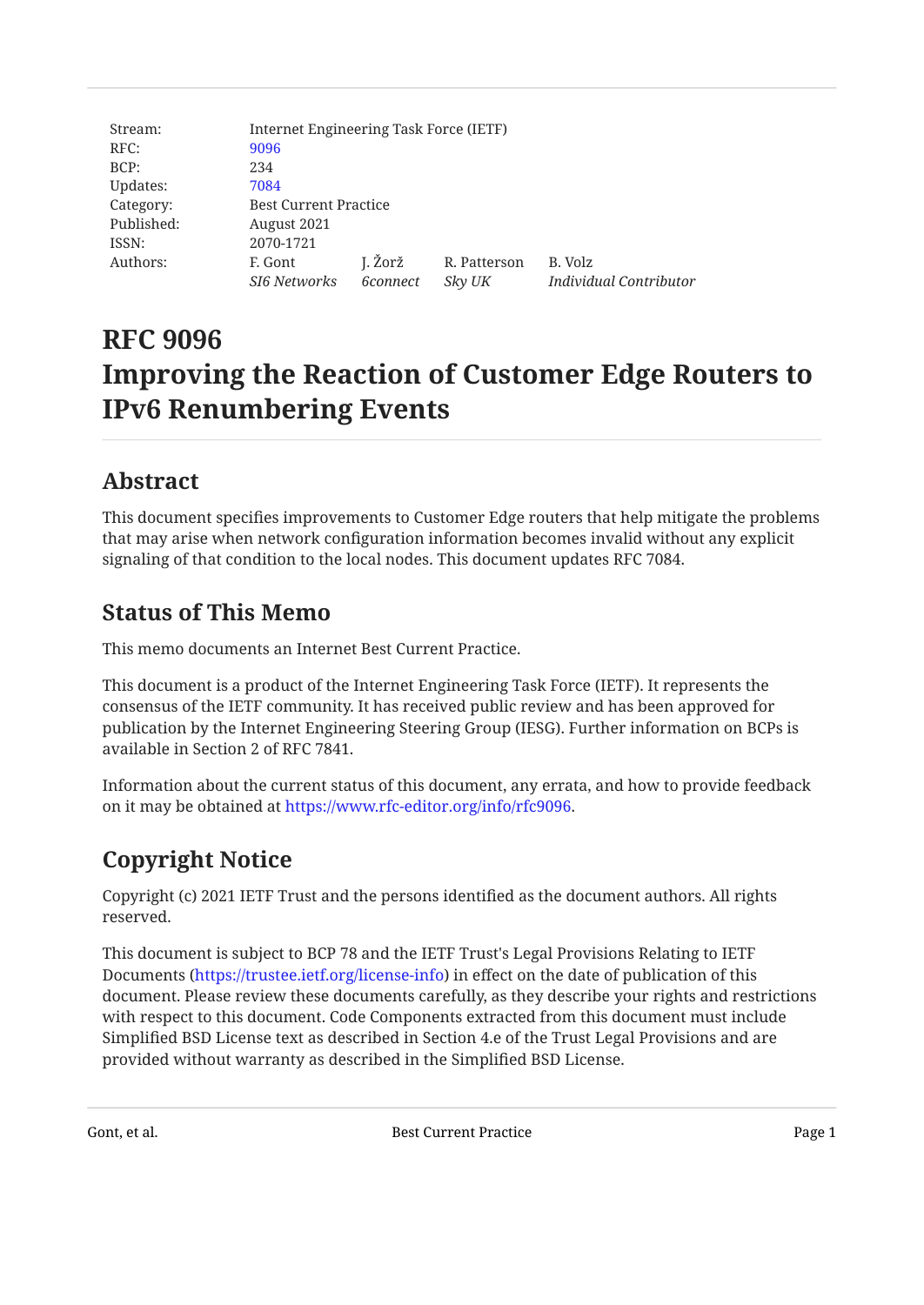| Stream:    | Internet Engineering Task Force (IETF) |                     |                        |                                   |
|------------|----------------------------------------|---------------------|------------------------|-----------------------------------|
| RFC:       | 9096                                   |                     |                        |                                   |
| BCP:       | 234                                    |                     |                        |                                   |
| Updates:   | 7084                                   |                     |                        |                                   |
| Category:  | <b>Best Current Practice</b>           |                     |                        |                                   |
| Published: | August 2021                            |                     |                        |                                   |
| ISSN:      | 2070-1721                              |                     |                        |                                   |
| Authors:   | F. Gont<br><b>SI6 Networks</b>         | J. Žorž<br>6connect | R. Patterson<br>Sky UK | B. Volz<br>Individual Contributor |

# **RFC 9096 Improving the Reaction of Customer Edge Routers to IPv6 Renumbering Events**

# <span id="page-0-0"></span>**[Abstract](#page-0-0)**

This document specifies improvements to Customer Edge routers that help mitigate the problems that may arise when network configuration information becomes invalid without any explicit signaling of that condition to the local nodes. This document updates RFC 7084.

# <span id="page-0-1"></span>**[Status of This Memo](#page-0-1)**

This memo documents an Internet Best Current Practice.

This document is a product of the Internet Engineering Task Force (IETF). It represents the consensus of the IETF community. It has received public review and has been approved for publication by the Internet Engineering Steering Group (IESG). Further information on BCPs is available in Section 2 of RFC 7841.

Information about the current status of this document, any errata, and how to provide feedback on it may be obtained at <https://www.rfc-editor.org/info/rfc9096>.

# <span id="page-0-2"></span>**[Copyright Notice](#page-0-2)**

Copyright (c) 2021 IETF Trust and the persons identified as the document authors. All rights reserved.

This document is subject to BCP 78 and the IETF Trust's Legal Provisions Relating to IETF Documents (<https://trustee.ietf.org/license-info>) in effect on the date of publication of this document. Please review these documents carefully, as they describe your rights and restrictions with respect to this document. Code Components extracted from this document must include Simplified BSD License text as described in Section 4.e of the Trust Legal Provisions and are provided without warranty as described in the Simplified BSD License.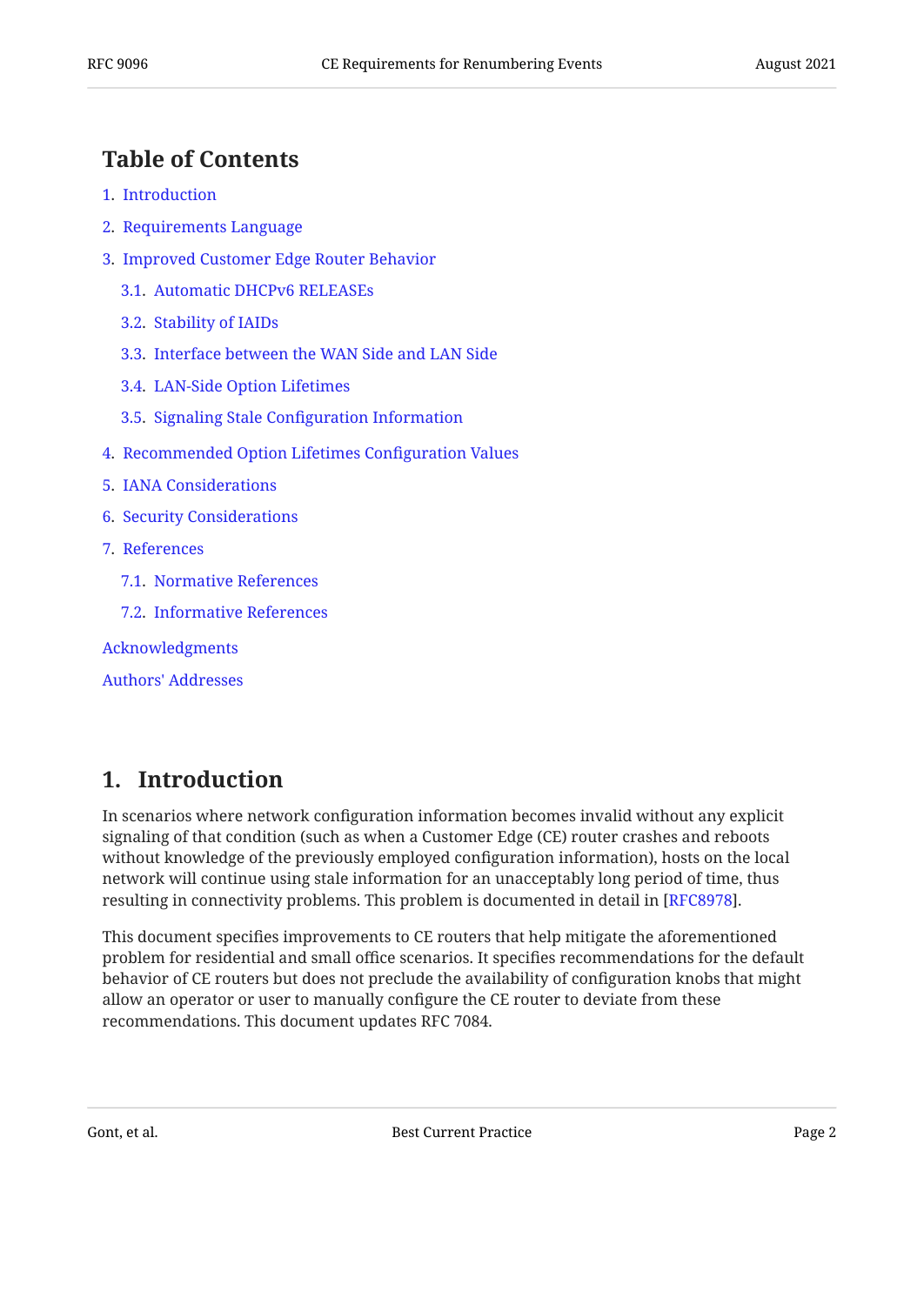## <span id="page-1-0"></span>**[Table of Contents](#page-1-0)**

- [1.](#page-1-1) [Introduction](#page-1-1)
- [2.](#page-2-0) [Requirements Language](#page-2-0)
- [3.](#page-2-1) [Improved Customer Edge Router Behavior](#page-2-1)
	- [3.1.](#page-3-0) [Automatic DHCPv6 RELEASEs](#page-3-0)
	- [3.2.](#page-3-1) [Stability of IAIDs](#page-3-1)
	- [3.3.](#page-3-2) [Interface between the WAN Side and LAN Side](#page-3-2)
	- [3.4.](#page-4-0) [LAN-Side Option Lifetimes](#page-4-0)
	- [3.5.](#page-5-0) Signaling Stale Confi[guration Information](#page-5-0)
- [4.](#page-7-0) [Recommended Option Lifetimes Con](#page-7-0)figuration Values
- [5.](#page-7-1) [IANA Considerations](#page-7-1)
- [6.](#page-7-2) [Security Considerations](#page-7-2)
- [7.](#page-8-0) [References](#page-8-0)
	- [7.1.](#page-8-1) [Normative References](#page-8-1)
	- [7.2.](#page-8-2) [Informative References](#page-8-2)

[Acknowledgments](#page-9-0)

[Authors' Addresses](#page-9-1)

## <span id="page-1-1"></span>**[1. Introduction](#page-1-1)**

In scenarios where network configuration information becomes invalid without any explicit signaling of that condition (such as when a Customer Edge (CE) router crashes and reboots without knowledge of the previously employed configuration information), hosts on the local network will continue using stale information for an unacceptably long period of time, thus resulting in connectivity problems. This problem is documented in detail in [[RFC8978\]](#page-9-2).

This document specifies improvements to CE routers that help mitigate the aforementioned problem for residential and small office scenarios. It specifies recommendations for the default behavior of CE routers but does not preclude the availability of configuration knobs that might allow an operator or user to manually configure the CE router to deviate from these recommendations. This document updates RFC 7084.

Gont, et al. **Best Current Practice** Page 2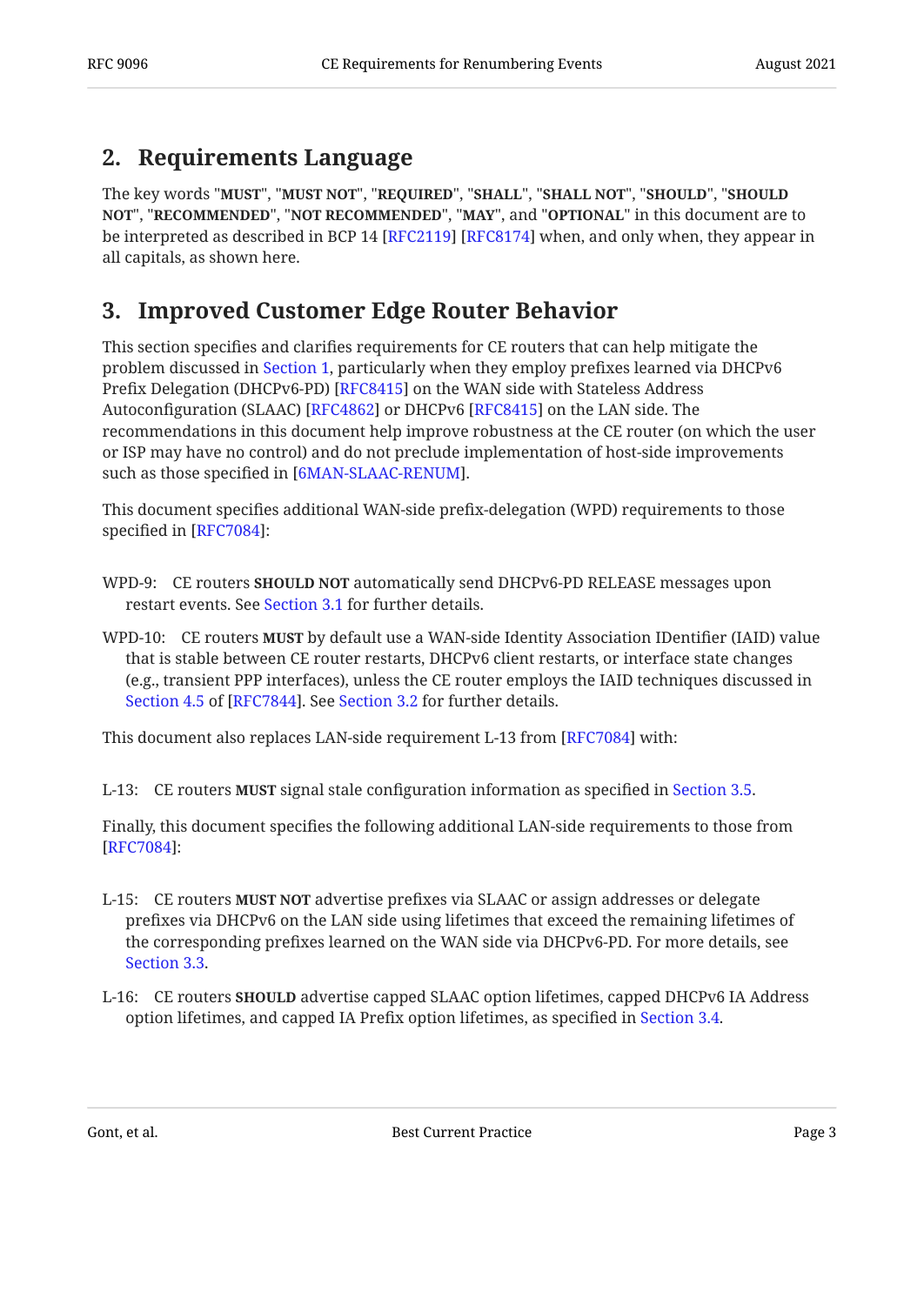## <span id="page-2-0"></span>**[2. Requirements Language](#page-2-0)**

The key words "MUST", "MUST NOT", "REQUIRED", "SHALL", "SHALL NOT", "SHOULD", "SHOULD <code>NOT",</code> "<code>RECOMMENDED", "NOT RECOMMENDED", "MAY", and "OPTIONAL" in this document are to</code> be interpreted as described in BCP 14 [RFC2119] [RFC8174] when, and only when, they appear in all capitals, as shown here.

## <span id="page-2-1"></span>**[3. Improved Customer Edge Router Behavior](#page-2-1)**

This section specifies and clarifies requirements for CE routers that can help mitigate the problem discussed in [Section 1,](#page-1-1) particularly when they employ prefixes learned via DHCPv6 Prefix Delegation (DHCPv6-PD) [RFC8415] on the WAN side with Stateless Address Autoconfiguration (SLAAC) [RFC4862] or DHCPv6 [RFC8415] on the LAN side. The recommendations in this document help improve robustness at the CE router (on which the user or ISP may have no control) and do not preclude implementation of host-side improvements such as those specified in [6MAN-SLAAC-RENUM].

This document specifies additional WAN-side prefix-delegation (WPD) requirements to those specified in  $[RFC7084]$ :

- WPD-9: CE routers **SHOULD NOT** automatically send DHCPv6-PD RELEASE messages upon restart events. See [Section 3.1](#page-3-0) for further details.
- WPD-10: CE routers **MUST** by default use a WAN-side Identity Association IDentifier (IAID) value that is stable between CE router restarts, DHCPv6 client restarts, or interface state changes (e.g., transient PPP interfaces), unless the CE router employs the IAID techniques discussed in Section 4.5 of [RFC7844]. See [Section 3.2](#page-3-1) for further details.

This document also replaces LAN-side requirement L-13 from [\[RFC7084](#page-9-3)] with:

L-13: CE routers **MUST** signal stale configuration information as specified in [Section 3.5.](#page-5-0)

Finally, this document specifies the following additional LAN-side requirements to those from : [[RFC7084\]](#page-9-3)

- L-15: CE routers **MUST NOT** advertise prefixes via SLAAC or assign addresses or delegate prefixes via DHCPv6 on the LAN side using lifetimes that exceed the remaining lifetimes of the corresponding prefixes learned on the WAN side via DHCPv6-PD. For more details, see [Section 3.3.](#page-3-2)
- L-16: CE routers **SHOULD** advertise capped SLAAC option lifetimes, capped DHCPv6 IA Address option lifetimes, and capped IA Prefix option lifetimes, as specified in [Section 3.4.](#page-4-0)

Gont, et al. **Best Current Practice** Page 3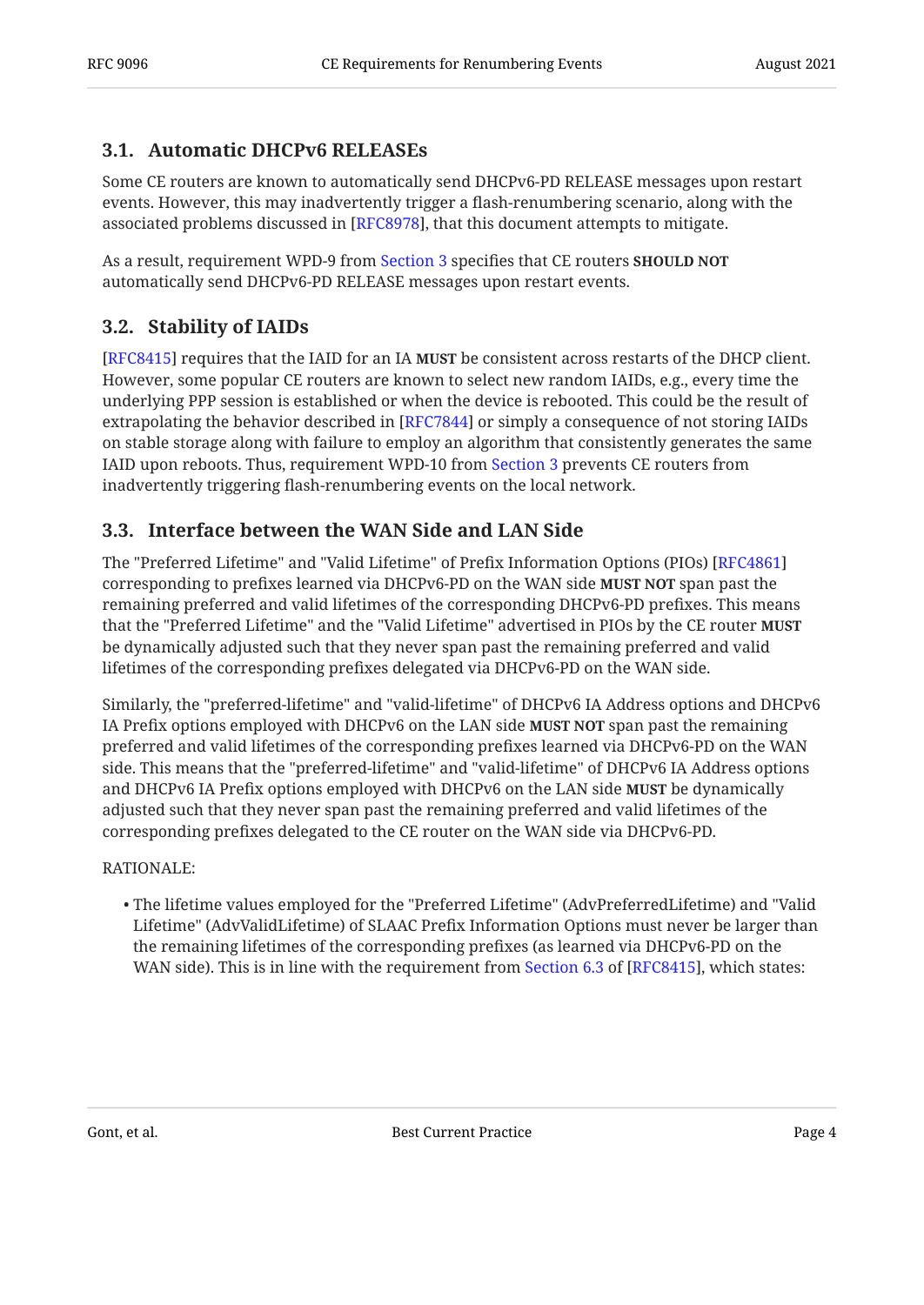### <span id="page-3-0"></span>**[3.1. Automatic DHCPv6 RELEASEs](#page-3-0)**

Some CE routers are known to automatically send DHCPv6-PD RELEASE messages upon restart events. However, this may inadvertently trigger a flash-renumbering scenario, along with the associated problems discussed in [RFC8978], that this document attempts to mitigate.

As a result, requirement WPD-9 from [Section 3](#page-2-1) specifies that CE routers **SHOULD NOT** automatically send DHCPv6-PD RELEASE messages upon restart events.

### <span id="page-3-1"></span>**[3.2. Stability of IAIDs](#page-3-1)**

[[RFC8415\]](#page-8-5) requires that the IAID for an IA **MUST** be consistent across restarts of the DHCP client. However, some popular CE routers are known to select new random IAIDs, e.g., every time the underlying PPP session is established or when the device is rebooted. This could be the result of extrapolating the behavior described in [RFC7844] or simply a consequence of not storing IAIDs on stable storage along with failure to employ an algorithm that consistently generates the same IAID upon reboots. Thus, requirement WPD-10 from [Section 3](#page-2-1) prevents CE routers from inadvertently triggering flash-renumbering events on the local network.

### <span id="page-3-2"></span>**[3.3. Interface between the WAN Side and LAN Side](#page-3-2)**

The "Preferred Lifetime" and "Valid Lifetime" of Prefix Information Options (PIOs) [[RFC4861\]](#page-8-9) corresponding to prefixes learned via DHCPv6-PD on the WAN side **MUST NOT** span past the remaining preferred and valid lifetimes of the corresponding DHCPv6-PD prefixes. This means that the "Preferred Lifetime" and the "Valid Lifetime" advertised in PIOs by the CE router **MUST** be dynamically adjusted such that they never span past the remaining preferred and valid lifetimes of the corresponding prefixes delegated via DHCPv6-PD on the WAN side.

Similarly, the "preferred-lifetime" and "valid-lifetime" of DHCPv6 IA Address options and DHCPv6 IA Prefix options employed with DHCPv6 on the LAN side **MUST NOT** span past the remaining preferred and valid lifetimes of the corresponding prefixes learned via DHCPv6-PD on the WAN side. This means that the "preferred-lifetime" and "valid-lifetime" of DHCPv6 IA Address options and DHCPv6 IA Prefix options employed with DHCPv6 on the LAN side **MUST** be dynamically adjusted such that they never span past the remaining preferred and valid lifetimes of the corresponding prefixes delegated to the CE router on the WAN side via DHCPv6-PD.

#### RATIONALE:

The lifetime values employed for the "Preferred Lifetime" (AdvPreferredLifetime) and "Valid • Lifetime" (AdvValidLifetime) of SLAAC Prefix Information Options must never be larger than the remaining lifetimes of the corresponding prefixes (as learned via DHCPv6-PD on the WANside). This is in line with the requirement from Section 6.3 of [RFC8415], which states:  $\,$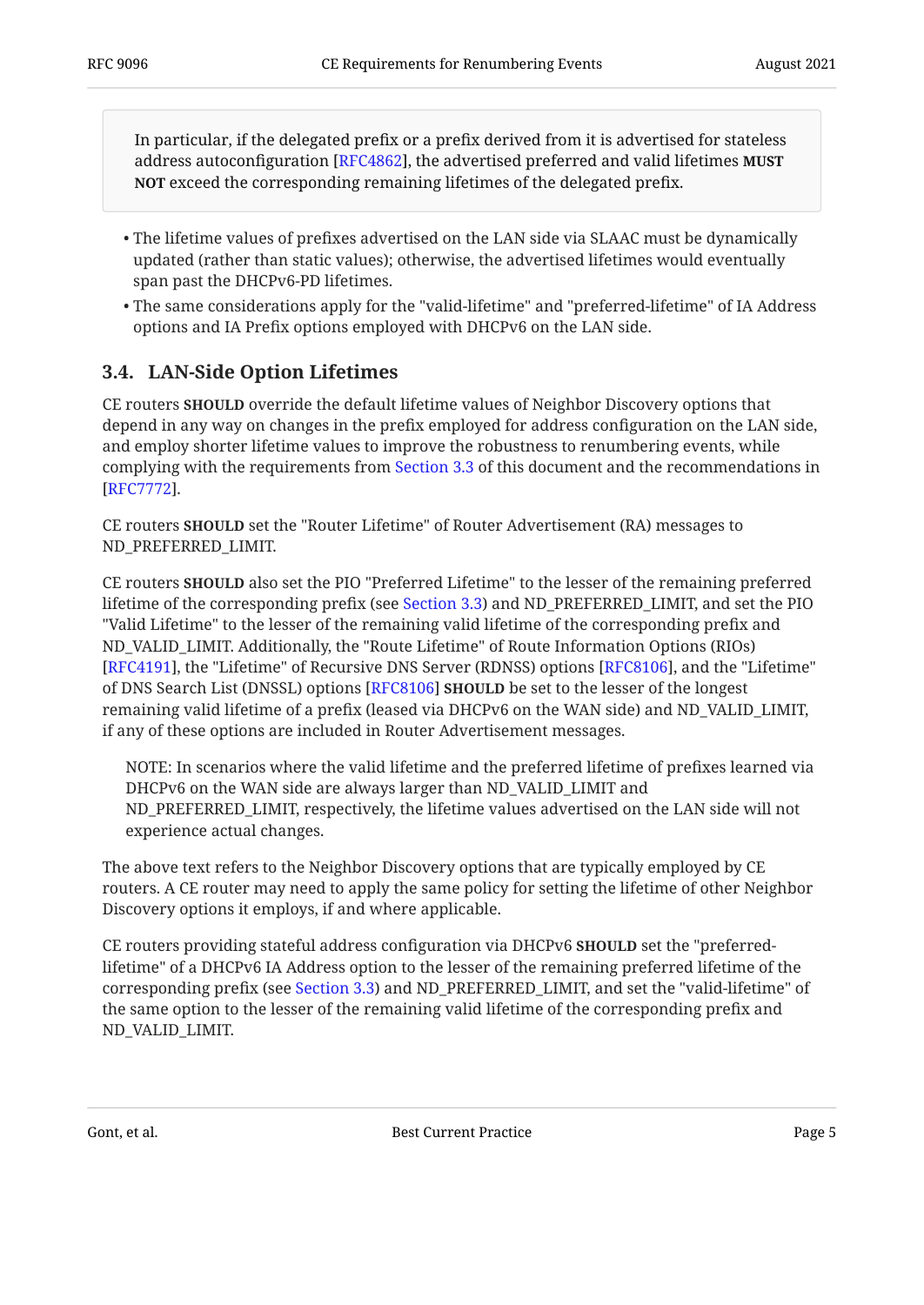In particular, if the delegated prefix or a prefix derived from it is advertised for stateless address autoconfiguration [RFC4862], the advertised preferred and valid lifetimes **MUST NOT** exceed the corresponding remaining lifetimes of the delegated prefix.

- The lifetime values of prefixes advertised on the LAN side via SLAAC must be dynamically updated (rather than static values); otherwise, the advertised lifetimes would eventually span past the DHCPv6-PD lifetimes.
- The same considerations apply for the "valid-lifetime" and "preferred-lifetime" of IA Address options and IA Prefix options employed with DHCPv6 on the LAN side.

### <span id="page-4-0"></span>**[3.4. LAN-Side Option Lifetimes](#page-4-0)**

**CE** routers **SHOULD** override the default lifetime values of Neighbor Discovery options that depend in any way on changes in the prefix employed for address configuration on the LAN side, and employ shorter lifetime values to improve the robustness to renumbering events, while complying with the requirements from [Section 3.3](#page-3-2) of this document and the recommendations in . [[RFC7772\]](#page-8-10)

CE routers **SHOULD** set the "Router Lifetime" of Router Advertisement (RA) messages to ND\_PREFERRED\_LIMIT.

CE routers **SHOULD** also set the PIO "Preferred Lifetime" to the lesser of the remaining preferred lifetime of the corresponding prefix (see [Section 3.3\)](#page-3-2) and ND\_PREFERRED\_LIMIT, and set the PIO "Valid Lifetime" to the lesser of the remaining valid lifetime of the corresponding prefix and ND\_VALID\_LIMIT. Additionally, the "Route Lifetime" of Route Information Options (RIOs) [[RFC4191\]](#page-8-11), the "Lifetime" of Recursive DNS Server (RDNSS) options [RFC8106], and the "Lifetime" of DNS Search List (DNSSL) options [RFC8106] **SHOULD** be set to the lesser of the longest remaining valid lifetime of a prefix (leased via DHCPv6 on the WAN side) and ND\_VALID\_LIMIT, if any of these options are included in Router Advertisement messages.

NOTE: In scenarios where the valid lifetime and the preferred lifetime of prefixes learned via DHCPv6 on the WAN side are always larger than ND\_VALID\_LIMIT and ND\_PREFERRED\_LIMIT, respectively, the lifetime values advertised on the LAN side will not experience actual changes.

The above text refers to the Neighbor Discovery options that are typically employed by CE routers. A CE router may need to apply the same policy for setting the lifetime of other Neighbor Discovery options it employs, if and where applicable.

CE routers providing stateful address configuration via DHCPv6 SHOULD set the "preferredlifetime" of a DHCPv6 IA Address option to the lesser of the remaining preferred lifetime of the corresponding prefix (see [Section 3.3](#page-3-2)) and ND\_PREFERRED\_LIMIT, and set the "valid-lifetime" of the same option to the lesser of the remaining valid lifetime of the corresponding prefix and ND\_VALID\_LIMIT.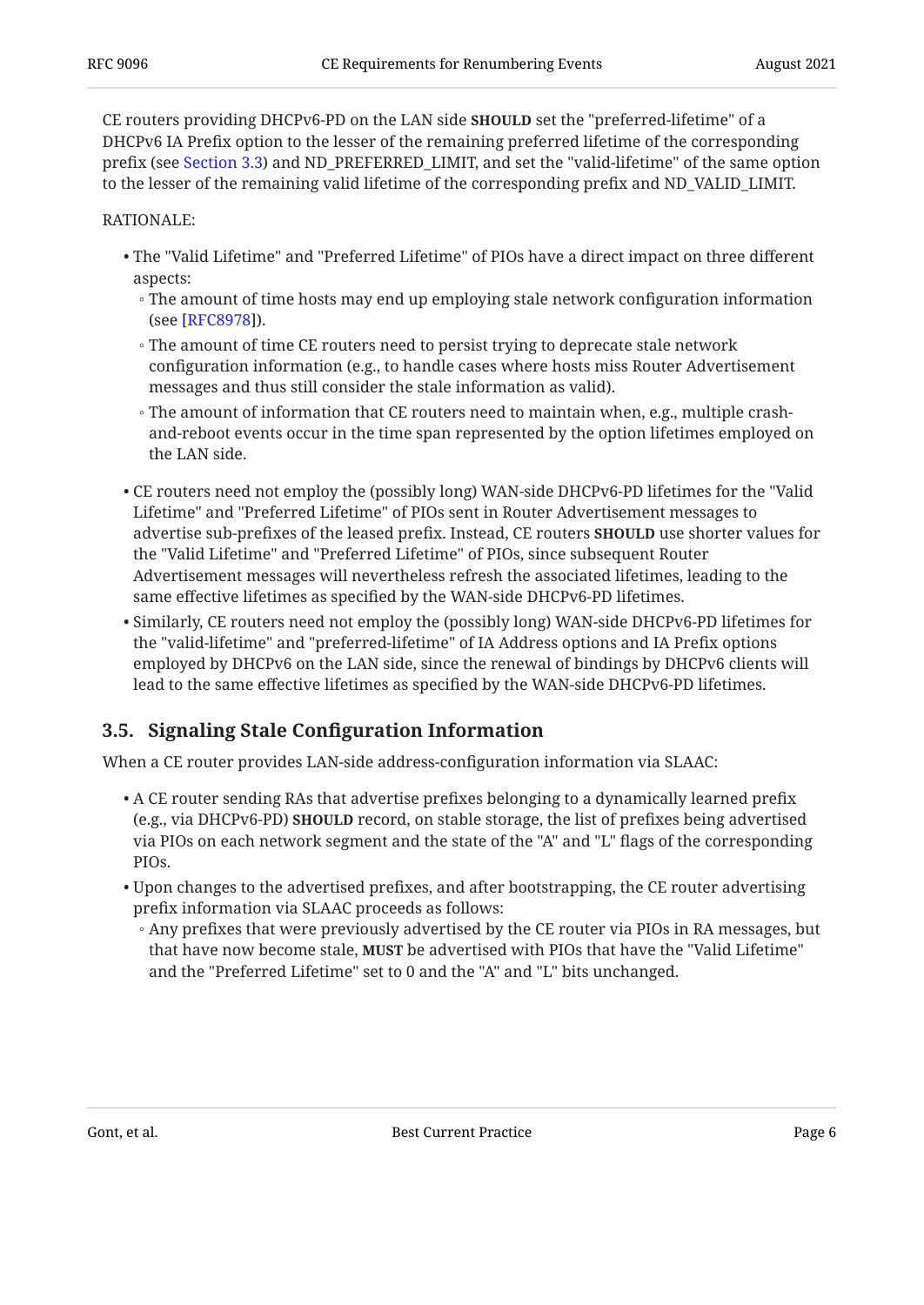CE routers providing DHCPv6-PD on the LAN side **SHOULD** set the "preferred-lifetime" of a DHCPv6 IA Prefix option to the lesser of the remaining preferred lifetime of the corresponding prefix (see [Section 3.3](#page-3-2)) and ND\_PREFERRED\_LIMIT, and set the "valid-lifetime" of the same option to the lesser of the remaining valid lifetime of the corresponding prefix and ND\_VALID\_LIMIT.

#### RATIONALE:

- The "Valid Lifetime" and "Preferred Lifetime" of PIOs have a direct impact on three different aspects:
	- The amount of time hosts may end up employing stale network configuration information (see [RFC8978]).
	- The amount of time CE routers need to persist trying to deprecate stale network configuration information (e.g., to handle cases where hosts miss Router Advertisement messages and thus still consider the stale information as valid).
	- The amount of information that CE routers need to maintain when, e.g., multiple crash-◦ and-reboot events occur in the time span represented by the option lifetimes employed on the LAN side.
- CE routers need not employ the (possibly long) WAN-side DHCPv6-PD lifetimes for the "Valid Lifetime" and "Preferred Lifetime" of PIOs sent in Router Advertisement messages to advertise sub-prefixes of the leased prefix. Instead, CE routers **SHOULD** use shorter values for the "Valid Lifetime" and "Preferred Lifetime" of PIOs, since subsequent Router Advertisement messages will nevertheless refresh the associated lifetimes, leading to the same effective lifetimes as specified by the WAN-side DHCPv6-PD lifetimes.
- $\bullet$  Similarly, CE routers need not employ the (possibly long) WAN-side DHCPv6-PD lifetimes for the "valid-lifetime" and "preferred-lifetime" of IA Address options and IA Prefix options employed by DHCPv6 on the LAN side, since the renewal of bindings by DHCPv6 clients will lead to the same effective lifetimes as specified by the WAN-side DHCPv6-PD lifetimes.

### <span id="page-5-0"></span>**[3.5. S](#page-5-0)ignaling Stale Confi[guration Information](#page-5-0)**

When a CE router provides LAN-side address-configuration information via SLAAC:

- $\bullet$  A CE router sending RAs that advertise prefixes belonging to a dynamically learned prefix (e.g., via DHCPv6-PD) **SHOULD** record, on stable storage, the list of prefixes being advertised via PIOs on each network segment and the state of the "A" and "L" flags of the corresponding PIOs.
- $\bullet$  Upon changes to the advertised prefixes, and after bootstrapping, the CE router advertising prefix information via SLAAC proceeds as follows:
- Any prefixes that were previously advertised by the CE router via PIOs in RA messages, but that have now become stale, **MUST** be advertised with PIOs that have the "Valid Lifetime" and the "Preferred Lifetime" set to 0 and the "A" and "L" bits unchanged.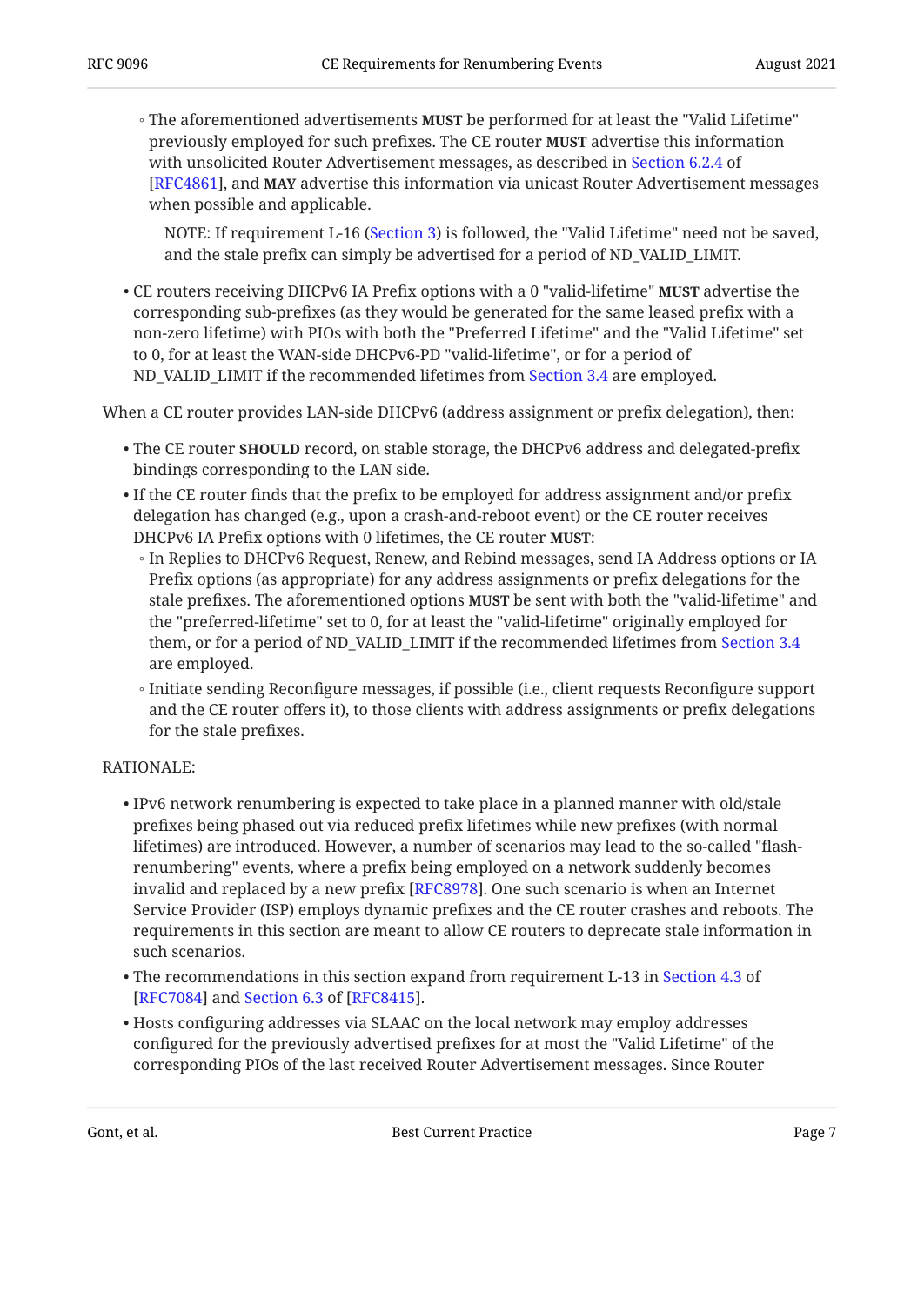◦ The aforementioned advertisements **MUST** be performed for at least the "Valid Lifetime" previously employed for such prefixes. The CE router advertise this information **MUST** with unsolicited Router Advertisement messages, as described in [Section 6.2.4](https://www.rfc-editor.org/rfc/rfc4861#section-6.2.4) of **[[RFC4861\]](#page-8-9), and MAY** advertise this information via unicast Router Advertisement messages when possible and applicable.

NOTE: If requirement L-16 [\(Section 3](#page-2-1)) is followed, the "Valid Lifetime" need not be saved, and the stale prefix can simply be advertised for a period of ND\_VALID\_LIMIT.

• CE routers receiving DHCPv6 IA Prefix options with a 0 "valid-lifetime" **MUST** advertise the corresponding sub-prefixes (as they would be generated for the same leased prefix with a non-zero lifetime) with PIOs with both the "Preferred Lifetime" and the "Valid Lifetime" set to 0, for at least the WAN-side DHCPv6-PD "valid-lifetime", or for a period of ND\_VALID\_LIMIT if the recommended lifetimes from [Section 3.4](#page-4-0) are employed.

When a CE router provides LAN-side DHCPv6 (address assignment or prefix delegation), then:

- $\bullet$  The CE router **SHOULD** record, on stable storage, the DHCPv6 address and delegated-prefix bindings corresponding to the LAN side.
- $\bullet$  If the CE router finds that the prefix to be employed for address assignment and/or prefix delegation has changed (e.g., upon a crash-and-reboot event) or the CE router receives DHCPv6 IA Prefix options with 0 lifetimes, the CE router **MUST**:
	- In Replies to DHCPv6 Request, Renew, and Rebind messages, send IA Address options or IA Prefix options (as appropriate) for any address assignments or prefix delegations for the stale prefixes. The aforementioned options **MUST** be sent with both the "valid-lifetime" and the "preferred-lifetime" set to 0, for at least the "valid-lifetime" originally employed for them, or for a period of ND\_VALID\_LIMIT if the recommended lifetimes from [Section 3.4](#page-4-0) are employed.
	- Initiate sending Reconfigure messages, if possible (i.e., client requests Reconfigure support and the CE router offers it), to those clients with address assignments or prefix delegations for the stale prefixes.

#### RATIONALE:

- IPv6 network renumbering is expected to take place in a planned manner with old/stale prefixes being phased out via reduced prefix lifetimes while new prefixes (with normal lifetimes) are introduced. However, a number of scenarios may lead to the so-called "flashrenumbering" events, where a prefix being employed on a network suddenly becomes invalid and replaced by a new prefix [RFC8978]. One such scenario is when an Internet Service Provider (ISP) employs dynamic prefixes and the CE router crashes and reboots. The requirements in this section are meant to allow CE routers to deprecate stale information in such scenarios.
- $\bullet$  The recommendations in this section expand from requirement L-13 in [Section 4.3](https://www.rfc-editor.org/rfc/rfc7084#section-4.3) of [RFC7084]and Section 6.3 of [RFC8415].
- Hosts configuring addresses via SLAAC on the local network may employ addresses configured for the previously advertised prefixes for at most the "Valid Lifetime" of the corresponding PIOs of the last received Router Advertisement messages. Since Router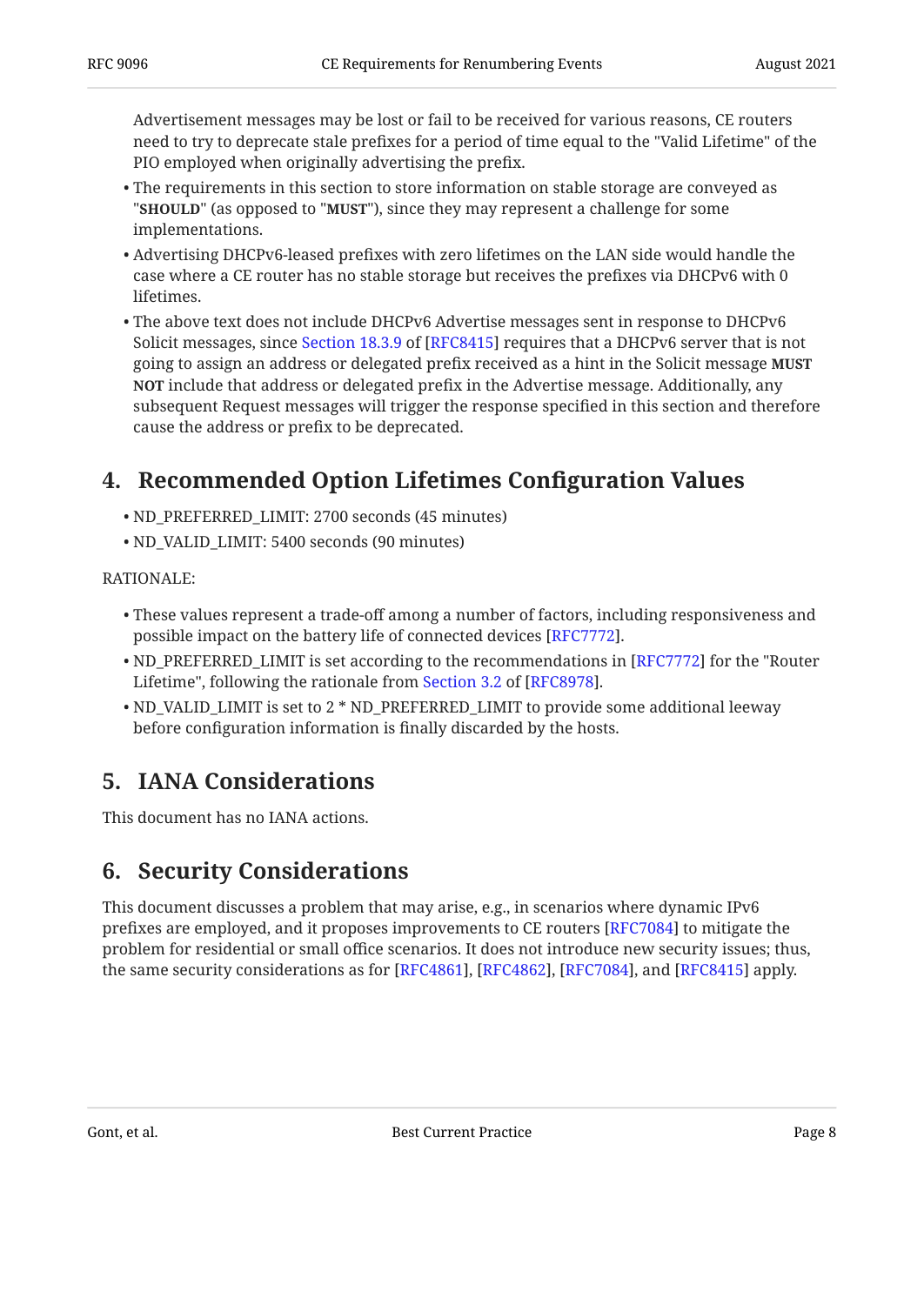Advertisement messages may be lost or fail to be received for various reasons, CE routers need to try to deprecate stale prefixes for a period of time equal to the "Valid Lifetime" of the PIO employed when originally advertising the prefix.

- The requirements in this section to store information on stable storage are conveyed as "**SHOULD**" (as opposed to "**MUST**"), since they may represent a challenge for some implementations.
- Advertising DHCPv6-leased prefixes with zero lifetimes on the LAN side would handle the case where a CE router has no stable storage but receives the prefixes via DHCPv6 with 0 lifetimes.
- The above text does not include DHCPv6 Advertise messages sent in response to DHCPv6 Solicitmessages, since Section 18.3.9 of [RFC8415] requires that a DHCPv6 server that is not going to assign an address or delegated prefix received as a hint in the Solicit message **MUST** <code>NOT</code> include that address or delegated prefix in the Advertise message. Additionally, any subsequent Request messages will trigger the response specified in this section and therefore cause the address or prefix to be deprecated.

# <span id="page-7-0"></span>**[4. Recommended Option Lifetimes Con](#page-7-0)figuration Values**

- ND\_PREFERRED\_LIMIT: 2700 seconds (45 minutes) •
- ND\_VALID\_LIMIT: 5400 seconds (90 minutes) •

#### RATIONALE:

- These values represent a trade-off among a number of factors, including responsiveness and possible impact on the battery life of connected devices [\[RFC7772](#page-8-10)].
- $\bullet$  ND\_PREFERRED\_LIMIT is set according to the recommendations in [RFC7772] for the "Router Lifetime", following the rationale from Section 3.2 of [RFC8978].
- $\bullet$  ND\_VALID\_LIMIT is set to 2  $^*$  ND\_PREFERRED\_LIMIT to provide some additional leeway before configuration information is finally discarded by the hosts.

# <span id="page-7-1"></span>**[5. IANA Considerations](#page-7-1)**

<span id="page-7-2"></span>This document has no IANA actions.

## **[6. Security Considerations](#page-7-2)**

This document discusses a problem that may arise, e.g., in scenarios where dynamic IPv6 prefixes are employed, and it proposes improvements to CE routers [RFC7084] to mitigate the problem for residential or small office scenarios. It does not introduce new security issues; thus, the same security considerations as for [[RFC4861\]](#page-8-9), [[RFC4862\]](#page-8-6), [\[RFC7084](#page-9-3)], and [\[RFC8415](#page-8-5)] apply.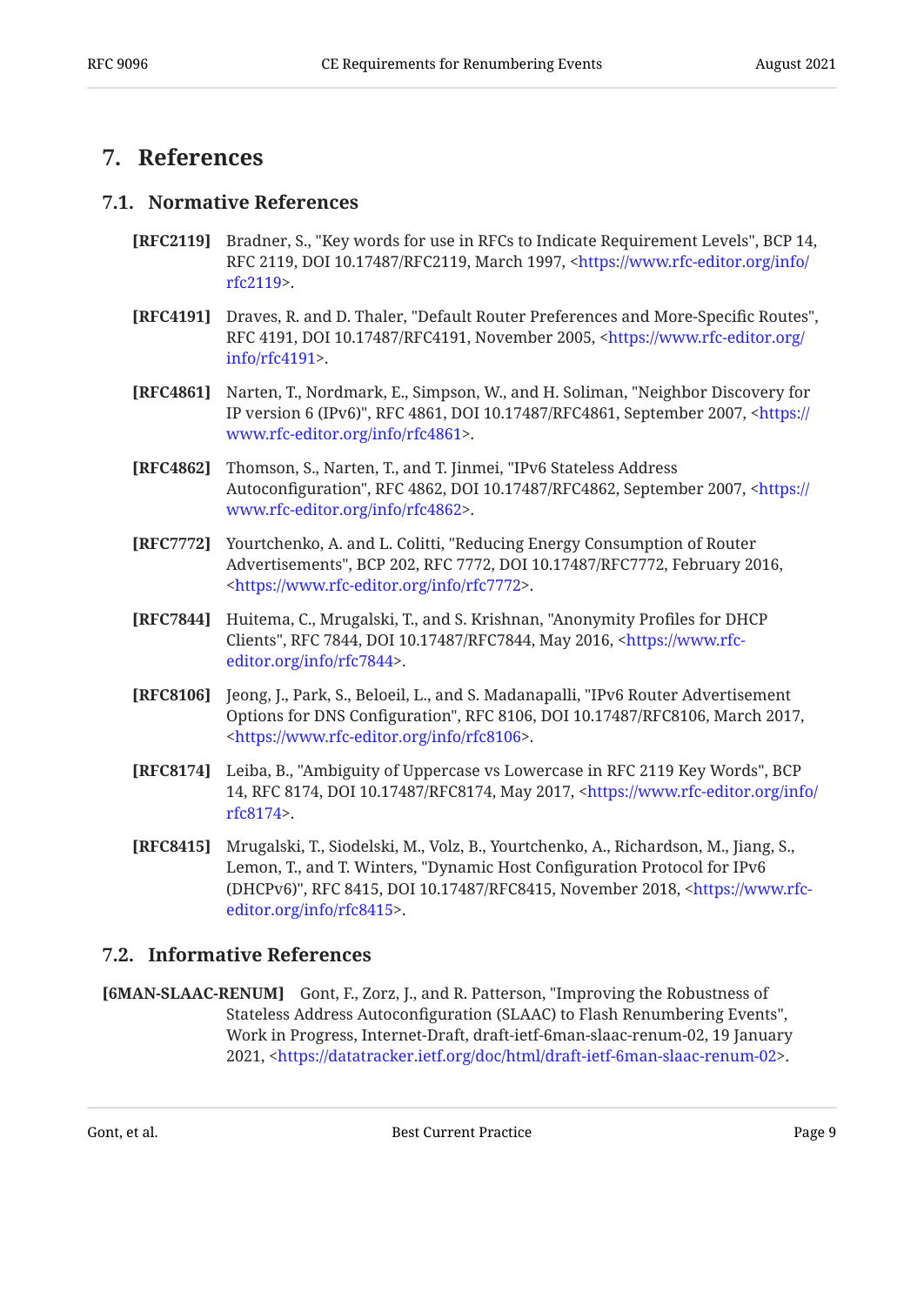## <span id="page-8-1"></span><span id="page-8-0"></span>**[7. References](#page-8-0)**

#### **[7.1. Normative References](#page-8-1)**

- <span id="page-8-3"></span>**[RFC2119]** Bradner, S., "Key words for use in RFCs to Indicate Requirement Levels", BCP 14, RFC 2119, DOI 10.17487/RFC2119, March 1997, <[https://www.rfc-editor.org/info/](https://www.rfc-editor.org/info/rfc2119) . [rfc2119>](https://www.rfc-editor.org/info/rfc2119)
- <span id="page-8-11"></span>**[RFC4191]** Draves, R. and D. Thaler, "Default Router Preferences and More-Specific Routes", RFC 4191, DOI 10.17487/RFC4191, November 2005, <[https://www.rfc-editor.org/](https://www.rfc-editor.org/info/rfc4191) . [info/rfc4191>](https://www.rfc-editor.org/info/rfc4191)
- <span id="page-8-9"></span>**[RFC4861]** Narten, T., Nordmark, E., Simpson, W., and H. Soliman, "Neighbor Discovery for IP version 6 (IPv6)", RFC 4861, DOI 10.17487/RFC4861, September 2007, [<https://](https://www.rfc-editor.org/info/rfc4861) . [www.rfc-editor.org/info/rfc4861>](https://www.rfc-editor.org/info/rfc4861)
- <span id="page-8-6"></span>**[RFC4862]** Thomson, S., Narten, T., and T. Jinmei, "IPv6 Stateless Address Autoconfiguration", RFC 4862, DOI 10.17487/RFC4862, September 2007, [<https://](https://www.rfc-editor.org/info/rfc4862) . [www.rfc-editor.org/info/rfc4862>](https://www.rfc-editor.org/info/rfc4862)
- <span id="page-8-10"></span>**[RFC7772]** Yourtchenko, A. and L. Colitti, "Reducing Energy Consumption of Router Advertisements", BCP 202, RFC 7772, DOI 10.17487/RFC7772, February 2016, . [<https://www.rfc-editor.org/info/rfc7772](https://www.rfc-editor.org/info/rfc7772)>
- <span id="page-8-8"></span>**[RFC7844]** Huitema, C., Mrugalski, T., and S. Krishnan, "Anonymity Profiles for DHCP Clients", RFC 7844, DOI 10.17487/RFC7844, May 2016, <[https://www.rfc-](https://www.rfc-editor.org/info/rfc7844). [editor.org/info/rfc7844>](https://www.rfc-editor.org/info/rfc7844)
- <span id="page-8-12"></span>**[RFC8106]** Jeong, J., Park, S., Beloeil, L., and S. Madanapalli, "IPv6 Router Advertisement Options for DNS Configuration", RFC 8106, DOI 10.17487/RFC8106, March 2017, . [<https://www.rfc-editor.org/info/rfc8106](https://www.rfc-editor.org/info/rfc8106)>
- <span id="page-8-4"></span>**[RFC8174]** Leiba, B., "Ambiguity of Uppercase vs Lowercase in RFC 2119 Key Words", BCP 14, RFC 8174, DOI 10.17487/RFC8174, May 2017, [<https://www.rfc-editor.org/info/](https://www.rfc-editor.org/info/rfc8174) . [rfc8174>](https://www.rfc-editor.org/info/rfc8174)
- <span id="page-8-5"></span>**[RFC8415]** Mrugalski, T., Siodelski, M., Volz, B., Yourtchenko, A., Richardson, M., Jiang, S., Lemon, T., and T. Winters, "Dynamic Host Configuration Protocol for IPv6 (DHCPv6)", RFC 8415, DOI 10.17487/RFC8415, November 2018, <[https://www.rfc-](https://www.rfc-editor.org/info/rfc8415). [editor.org/info/rfc8415>](https://www.rfc-editor.org/info/rfc8415)

#### <span id="page-8-2"></span>**[7.2. Informative References](#page-8-2)**

<span id="page-8-7"></span>**[6MAN-SLAAC-RENUM]** Gont, F., Zorz, J., and R. Patterson, "Improving the Robustness of , Stateless Address Autoconfiguration (SLAAC) to Flash Renumbering Events" Work in Progress, Internet-Draft, draft-ietf-6man-slaac-renum-02, 19 January 2021, <https://datatracker.ietf.org/doc/html/draft-ietf-6man-slaac-renum-02>.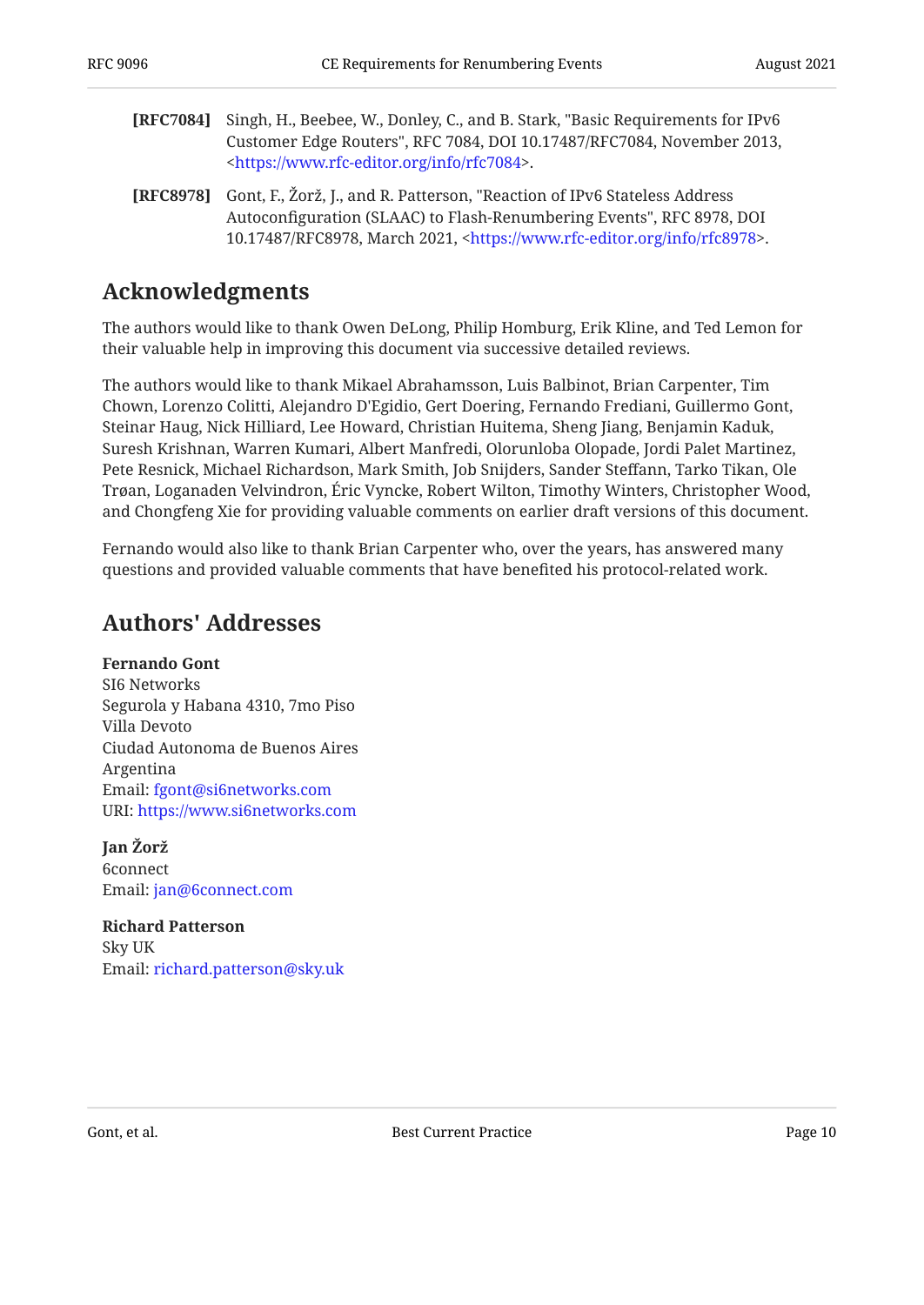- <span id="page-9-3"></span>**[RFC7084]** Singh, H., Beebee, W., Donley, C., and B. Stark, "Basic Requirements for IPv6 Customer Edge Routers", RFC 7084, DOI 10.17487/RFC7084, November 2013, . [<https://www.rfc-editor.org/info/rfc7084](https://www.rfc-editor.org/info/rfc7084)>
- <span id="page-9-2"></span>**[RFC8978]** Gont, F., Žorž, J., and R. Patterson, "Reaction of IPv6 Stateless Address Autoconfiguration (SLAAC) to Flash-Renumbering Events", RFC 8978, DOI 10.17487/RFC8978, March 2021, <https://www.rfc-editor.org/info/rfc8978>.

## <span id="page-9-0"></span>**[Acknowledgments](#page-9-0)**

The authors would like to thank Owen DeLong, Philip Homburg, Erik Kline, and Ted Lemon for their valuable help in improving this document via successive detailed reviews.

The authors would like to thank Mikael Abrahamsson, Luis Balbinot, Brian Carpenter, Tim Chown, Lorenzo Colitti, Alejandro D'Egidio, Gert Doering, Fernando Frediani, Guillermo Gont, Steinar Haug, Nick Hilliard, Lee Howard, Christian Huitema, Sheng Jiang, Benjamin Kaduk, Suresh Krishnan, Warren Kumari, Albert Manfredi, Olorunloba Olopade, Jordi Palet Martinez, Pete Resnick, Michael Richardson, Mark Smith, Job Snijders, Sander Steffann, Tarko Tikan, Ole Trøan, Loganaden Velvindron, Eric Vyncke, Robert Wilton, Timothy Winters, Christopher Wood, and Chongfeng Xie for providing valuable comments on earlier draft versions of this document.

<span id="page-9-1"></span>Fernando would also like to thank Brian Carpenter who, over the years, has answered many questions and provided valuable comments that have benefited his protocol-related work.

## **[Authors' Addresses](#page-9-1)**

**Fernando Gont** SI6 Networks Segurola y Habana 4310, 7mo Piso Villa Devoto Ciudad Autonoma de Buenos Aires Argentina Email: [fgont@si6networks.com](mailto:fgont@si6networks.com) URI: <https://www.si6networks.com>

**Jan Žorž** 6connect Email: [jan@6connect.com](mailto:jan@6connect.com)

**Richard Patterson** Sky UK Email: [richard.patterson@sky.uk](mailto:richard.patterson@sky.uk)